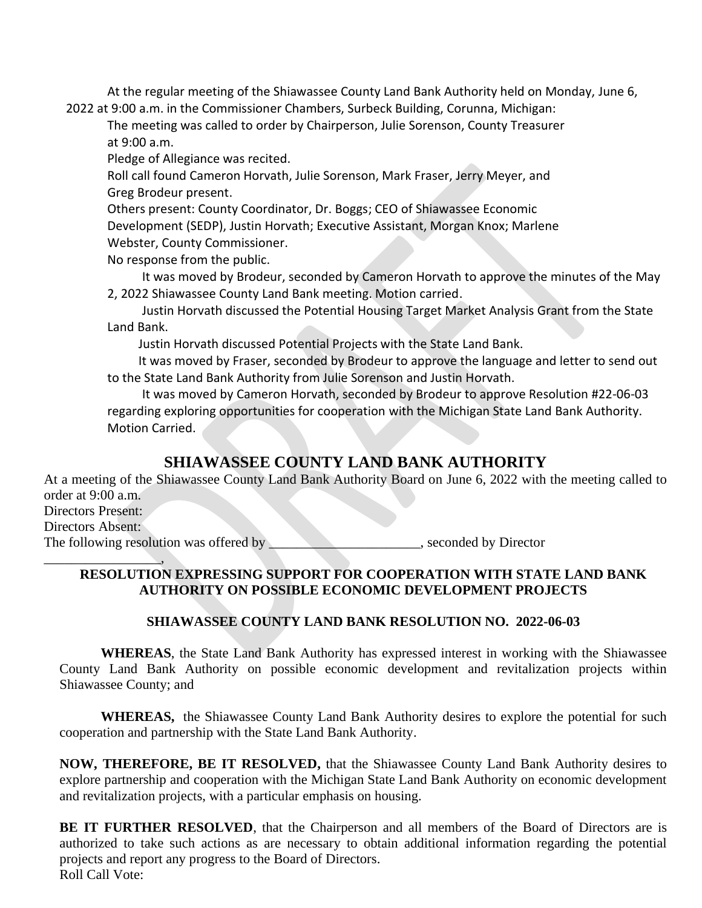At the regular meeting of the Shiawassee County Land Bank Authority held on Monday, June 6, 2022 at 9:00 a.m. in the Commissioner Chambers, Surbeck Building, Corunna, Michigan:

The meeting was called to order by Chairperson, Julie Sorenson, County Treasurer at 9:00 a.m.

Pledge of Allegiance was recited.

Roll call found Cameron Horvath, Julie Sorenson, Mark Fraser, Jerry Meyer, and Greg Brodeur present.

Others present: County Coordinator, Dr. Boggs; CEO of Shiawassee Economic

Development (SEDP), Justin Horvath; Executive Assistant, Morgan Knox; Marlene

Webster, County Commissioner.

No response from the public.

It was moved by Brodeur, seconded by Cameron Horvath to approve the minutes of the May 2, 2022 Shiawassee County Land Bank meeting. Motion carried.

Justin Horvath discussed the Potential Housing Target Market Analysis Grant from the State Land Bank.

Justin Horvath discussed Potential Projects with the State Land Bank.

 It was moved by Fraser, seconded by Brodeur to approve the language and letter to send out to the State Land Bank Authority from Julie Sorenson and Justin Horvath.

It was moved by Cameron Horvath, seconded by Brodeur to approve Resolution #22-06-03 regarding exploring opportunities for cooperation with the Michigan State Land Bank Authority. Motion Carried.

## **SHIAWASSEE COUNTY LAND BANK AUTHORITY**

At a meeting of the Shiawassee County Land Bank Authority Board on June 6, 2022 with the meeting called to order at 9:00 a.m. Directors Present: Directors Absent: The following resolution was offered by \_\_\_\_\_\_\_\_\_\_\_\_\_\_\_\_\_\_\_\_\_\_, seconded by Director

## \_\_\_\_\_\_\_\_\_\_\_\_\_\_\_\_\_, **RESOLUTION EXPRESSING SUPPORT FOR COOPERATION WITH STATE LAND BANK AUTHORITY ON POSSIBLE ECONOMIC DEVELOPMENT PROJECTS**

## **SHIAWASSEE COUNTY LAND BANK RESOLUTION NO. 2022-06-03**

**WHEREAS**, the State Land Bank Authority has expressed interest in working with the Shiawassee County Land Bank Authority on possible economic development and revitalization projects within Shiawassee County; and

**WHEREAS,** the Shiawassee County Land Bank Authority desires to explore the potential for such cooperation and partnership with the State Land Bank Authority.

**NOW, THEREFORE, BE IT RESOLVED,** that the Shiawassee County Land Bank Authority desires to explore partnership and cooperation with the Michigan State Land Bank Authority on economic development and revitalization projects, with a particular emphasis on housing.

**BE IT FURTHER RESOLVED**, that the Chairperson and all members of the Board of Directors are is authorized to take such actions as are necessary to obtain additional information regarding the potential projects and report any progress to the Board of Directors. Roll Call Vote: